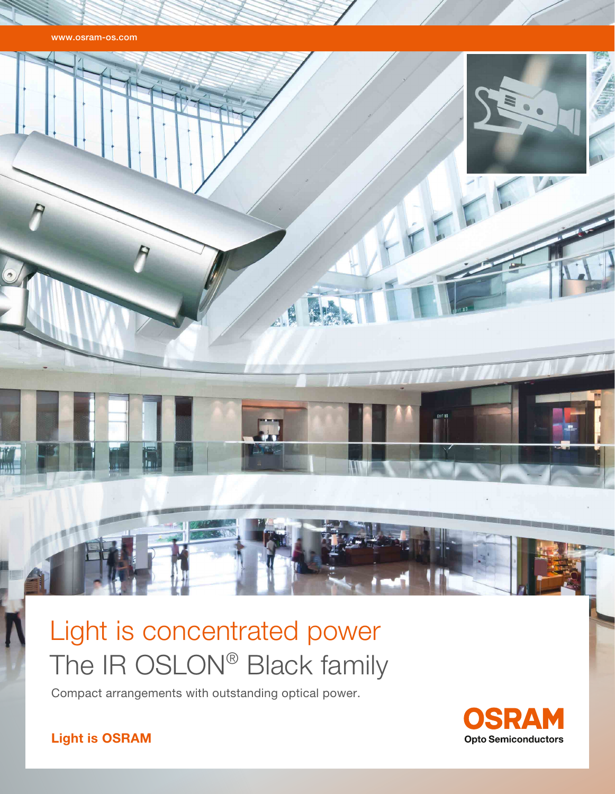www.osram-os.com



# Light is concentrated power The IR OSLON® Black family

Compact arrangements with outstanding optical power.



Light is OSRAM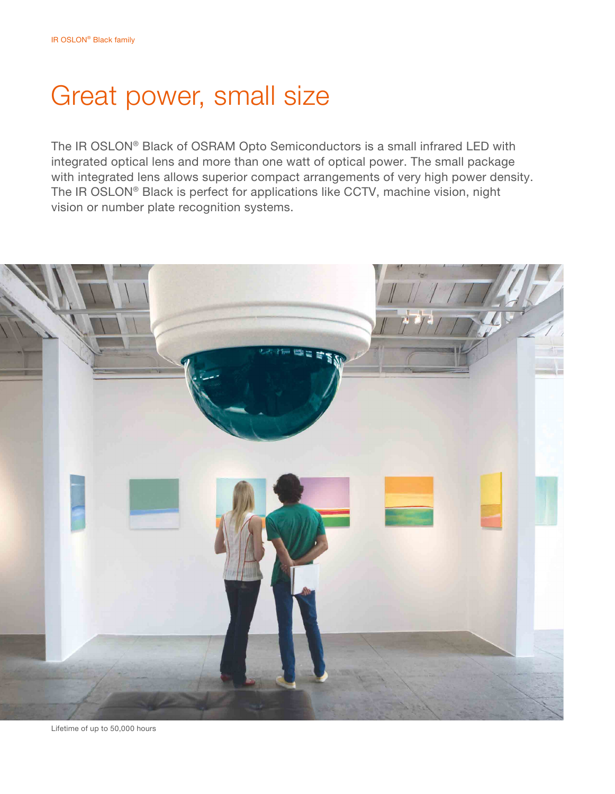# Great power, small size

The IR OSLON® Black of OSRAM Opto Semiconductors is a small infrared LED with integrated optical lens and more than one watt of optical power. The small package with integrated lens allows superior compact arrangements of very high power density. The IR OSLON® Black is perfect for applications like CCTV, machine vision, night vision or number plate recognition systems.



Lifetime of up to 50,000 hours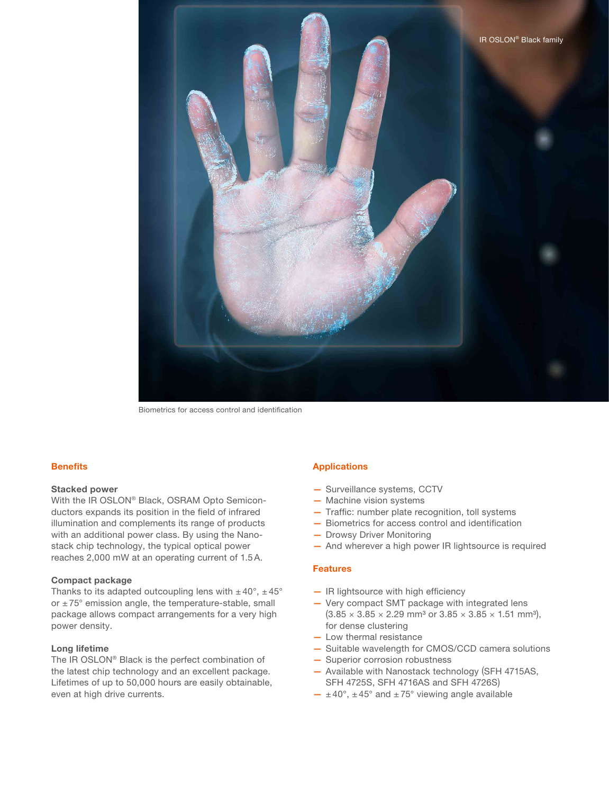

Biometrics for access control and identification

### **Benefits**

#### Stacked power

With the IR OSLON® Black, OSRAM Opto Semiconductors expands its position in the field of infrared illumination and complements its range of products with an additional power class. By using the Nanostack chip technology, the typical optical power reaches 2,000 mW at an operating current of 1.5A.

#### Compact package

Thanks to its adapted outcoupling lens with  $\pm 40^{\circ}$ ,  $\pm 45^{\circ}$ or  $\pm 75^\circ$  emission angle, the temperature-stable, small package allows compact arrangements for a very high power density.

#### Long lifetime

The IR OSLON® Black is the perfect combination of the latest chip technology and an excellent package. Lifetimes of up to 50,000 hours are easily obtainable, even at high drive currents.

### Applications

- Surveillance systems, CCTV
- Machine vision systems
- Traffic: number plate recognition, toll systems
- Biometrics for access control and identification
- Drowsy Driver Monitoring
- And wherever a high power IR lightsource is required

#### Features

- IR lightsource with high efficiency
- Very compact SMT package with integrated lens  $(3.85 \times 3.85 \times 2.29 \text{ mm}^3 \text{ or } 3.85 \times 3.85 \times 1.51 \text{ mm}^3)$ , for dense clustering
- Low thermal resistance
- Suitable wavelength for CMOS/CCD camera solutions
- Superior corrosion robustness
- Available with Nanostack technology (SFH 4715AS, SFH 4725S, SFH 4716AS and SFH 4726S)
- $-$  ±40°, ±45° and ±75° viewing angle available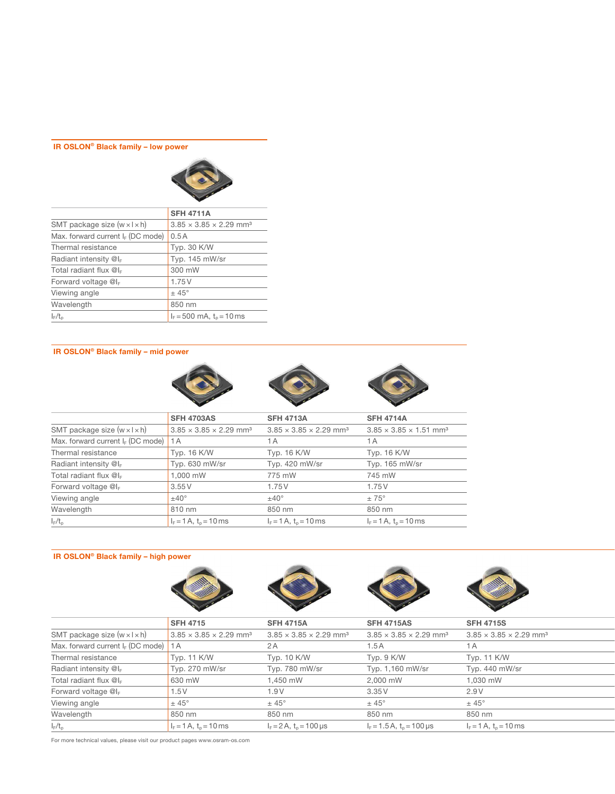# IR OSLON® Black family – low power



|                                          | <b>SFH 4711A</b>                               |
|------------------------------------------|------------------------------------------------|
| SMT package size $(w \times l \times h)$ | $3.85 \times 3.85 \times 2.29$ mm <sup>3</sup> |
| Max. forward current $I_F$ (DC mode)     | 0.5A                                           |
| Thermal resistance                       | Typ. 30 K/W                                    |
| Radiant intensity @I <sub>F</sub>        | Typ. 145 mW/sr                                 |
| Total radiant flux @I <sub>F</sub>       | 300 mW                                         |
| Forward voltage @l <sub>F</sub>          | 1.75V                                          |
| Viewing angle                            | $±45^{\circ}$                                  |
| Wavelength                               | 850 nm                                         |
| $I_F/t_p$                                | $I_F = 500$ mA, $t_o = 10$ ms                  |

# IR OSLON® Black family – mid power







|                                          | <b>SFH 4703AS</b>                              | <b>SFH 4713A</b>                               | <b>SFH 4714A</b>                               |  |
|------------------------------------------|------------------------------------------------|------------------------------------------------|------------------------------------------------|--|
| SMT package size $(w \times l \times h)$ | $3.85 \times 3.85 \times 2.29$ mm <sup>3</sup> | $3.85 \times 3.85 \times 2.29$ mm <sup>3</sup> | $3.85 \times 3.85 \times 1.51$ mm <sup>3</sup> |  |
| Max. forward current $I_F$ (DC mode)     | 1A                                             | 1 A                                            | 1 A                                            |  |
| Thermal resistance                       | Typ. 16 K/W                                    | <b>Typ. 16 K/W</b>                             | Typ. 16 K/W                                    |  |
| Radiant intensity $@I_{F}$               | Typ. 630 mW/sr                                 | Typ. 420 mW/sr                                 | Typ. 165 mW/sr                                 |  |
| Total radiant flux $@I_{F}$              | 1.000 mW                                       | 775 mW                                         | 745 mW                                         |  |
| Forward voltage $@I_{F}$                 | 3.55V                                          | 1.75V                                          | 1.75V                                          |  |
| Viewing angle                            | $±40^{\circ}$                                  | $±40^{\circ}$                                  | $\pm 75^{\circ}$                               |  |
| Wavelength                               | 810 nm                                         | 850 nm                                         | 850 nm                                         |  |
| $I_F/t_p$                                | $I_F = 1 A$ , $t_o = 10$ ms                    | $I_F = 1 A$ , $t_o = 10$ ms                    | $I_F = 1 A$ , $t_o = 10$ ms                    |  |

# IR OSLON® Black family – high power







|                                          | <b>SFH 4715</b>                                | <b>SFH 4715A</b>                               | <b>SFH 4715AS</b>                              | <b>SFH 4715S</b>                               |
|------------------------------------------|------------------------------------------------|------------------------------------------------|------------------------------------------------|------------------------------------------------|
| SMT package size $(w \times l \times h)$ | $3.85 \times 3.85 \times 2.29$ mm <sup>3</sup> | $3.85 \times 3.85 \times 2.29$ mm <sup>3</sup> | $3.85 \times 3.85 \times 2.29$ mm <sup>3</sup> | $3.85 \times 3.85 \times 2.29$ mm <sup>3</sup> |
| Max. forward current $I_F$ (DC mode) 1 A |                                                | 2 A                                            | 1.5 A                                          | 1 A                                            |
| Thermal resistance                       | Typ. 11 K/W                                    | Typ. 10 K/W                                    | Typ. 9 K/W                                     | Typ. 11 K/W                                    |
| Radiant intensity $@I_{F}$               | Typ. 270 mW/sr                                 | Typ. 780 mW/sr                                 | Typ. 1,160 mW/sr                               | Typ. 440 mW/sr                                 |
| Total radiant flux $@I_{F}$              | 630 mW                                         | 1,450 mW                                       | 2,000 mW                                       | 1,030 mW                                       |
| Forward voltage @IF                      | 1.5V                                           | 1.9V                                           | 3.35V                                          | 2.9V                                           |
| Viewing angle                            | $\pm$ 45°                                      | $±45^{\circ}$                                  | $± 45^{\circ}$                                 | $± 45^{\circ}$                                 |
| Wavelength                               | 850 nm                                         | 850 nm                                         | 850 nm                                         | 850 nm                                         |
| $I_F/t_p$                                | $I_F = 1 A$ , $t_o = 10$ ms                    | $I_F = 2 A$ , $t_o = 100 \mu s$                | $I_F = 1.5 A$ , $t_o = 100 \,\mu s$            | $I_F = 1 A$ , $t_o = 10$ ms                    |
|                                          |                                                |                                                |                                                |                                                |

For more technical values, please visit our product pages www.osram-os.com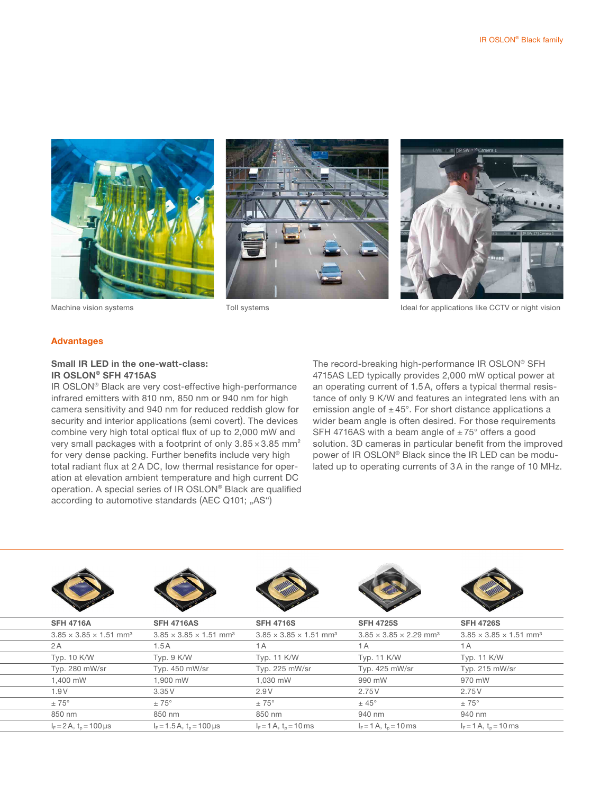





Machine vision systems Toll systems Toll systems Ideal for applications like CCTV or night vision

#### Advantages

# Small IR LED in the one-watt-class: IR OSLON® SFH 4715AS

IR OSLON® Black are very cost-effective high-performance infrared emitters with 810 nm, 850 nm or 940 nm for high camera sensitivity and 940 nm for reduced reddish glow for security and interior applications (semi covert). The devices combine very high total optical flux of up to 2,000 mW and very small packages with a footprint of only 3.85 × 3.85 mm<sup>2</sup> for very dense packing. Further benefits include very high total radiant flux at 2A DC, low thermal resistance for operation at elevation ambient temperature and high current DC operation. A special series of IR OSLON® Black are qualified according to automotive standards (AEC Q101; "AS")

The record-breaking high-performance IR OSLON® SFH 4715AS LED typically provides 2,000 mW optical power at an operating current of 1.5A, offers a typical thermal resistance of only 9 K/W and features an integrated lens with an emission angle of  $\pm 45^{\circ}$ . For short distance applications a wider beam angle is often desired. For those requirements SFH 4716AS with a beam angle of  $\pm 75^{\circ}$  offers a good solution. 3D cameras in particular benefit from the improved power of IR OSLON® Black since the IR LED can be modulated up to operating currents of 3A in the range of 10 MHz.

|    | <b>SFH 4716A</b>                               | <b>SFH 4716AS</b>                              | <b>SFH 4716S</b>                               | <b>SFH 4725S</b>                               | <b>SFH 4726S</b>                               |
|----|------------------------------------------------|------------------------------------------------|------------------------------------------------|------------------------------------------------|------------------------------------------------|
|    | $3.85 \times 3.85 \times 1.51$ mm <sup>3</sup> | $3.85 \times 3.85 \times 1.51$ mm <sup>3</sup> | $3.85 \times 3.85 \times 1.51$ mm <sup>3</sup> | $3.85 \times 3.85 \times 2.29$ mm <sup>3</sup> | $3.85 \times 3.85 \times 1.51$ mm <sup>3</sup> |
| 2A |                                                | 1.5A                                           | 1A                                             | 1A                                             | 1A                                             |
|    | Typ. 10 K/W                                    | Typ. 9 K/W                                     | Typ. 11 K/W                                    | Typ. 11 K/W                                    | Typ. 11 K/W                                    |
|    | Typ. 280 mW/sr                                 | Typ. 450 mW/sr                                 | Typ. 225 mW/sr                                 | Typ. 425 mW/sr                                 | Typ. 215 mW/sr                                 |
|    | 1,400 mW                                       | 1,900 mW                                       | 1,030 mW                                       | 990 mW                                         | 970 mW                                         |
|    | 1.9 V                                          | 3.35V                                          | 2.9 V                                          | 2.75 V                                         | 2.75 V                                         |
|    | $\pm 75^{\circ}$                               | $\pm 75^{\circ}$                               | $\pm 75^{\circ}$                               | $\pm$ 45 $^{\circ}$                            | $\pm 75^{\circ}$                               |
|    | 850 nm                                         | 850 nm                                         | 850 nm                                         | 940 nm                                         | 940 nm                                         |
|    | $I_F = 2 A$ , $t_o = 100 \,\mu s$              | $I_F = 1.5 A$ , $t_p = 100 \mu s$              | $I_F = 1 A$ , $t_o = 10$ ms                    | $I_F = 1 A$ , $t_o = 10$ ms                    | $I_F = 1 A$ , $t_o = 10$ ms                    |